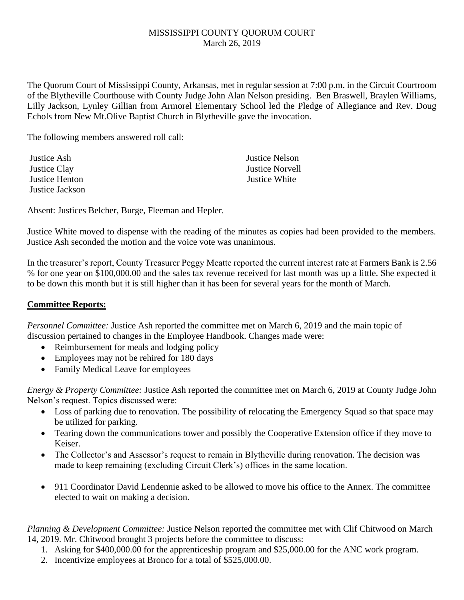## MISSISSIPPI COUNTY QUORUM COURT March 26, 2019

The Quorum Court of Mississippi County, Arkansas, met in regular session at 7:00 p.m. in the Circuit Courtroom of the Blytheville Courthouse with County Judge John Alan Nelson presiding. Ben Braswell, Braylen Williams, Lilly Jackson, Lynley Gillian from Armorel Elementary School led the Pledge of Allegiance and Rev. Doug Echols from New Mt.Olive Baptist Church in Blytheville gave the invocation.

The following members answered roll call:

Justice Ash Justice Nelson Justice Clay Justice Norvell Justice Henton Justice White Justice Jackson

Absent: Justices Belcher, Burge, Fleeman and Hepler.

Justice White moved to dispense with the reading of the minutes as copies had been provided to the members. Justice Ash seconded the motion and the voice vote was unanimous.

In the treasurer's report, County Treasurer Peggy Meatte reported the current interest rate at Farmers Bank is 2.56 % for one year on \$100,000.00 and the sales tax revenue received for last month was up a little. She expected it to be down this month but it is still higher than it has been for several years for the month of March.

## **Committee Reports:**

*Personnel Committee:* Justice Ash reported the committee met on March 6, 2019 and the main topic of discussion pertained to changes in the Employee Handbook. Changes made were:

- Reimbursement for meals and lodging policy
- Employees may not be rehired for 180 days
- Family Medical Leave for employees

*Energy & Property Committee:* Justice Ash reported the committee met on March 6, 2019 at County Judge John Nelson's request. Topics discussed were:

- Loss of parking due to renovation. The possibility of relocating the Emergency Squad so that space may be utilized for parking.
- Tearing down the communications tower and possibly the Cooperative Extension office if they move to Keiser.
- The Collector's and Assessor's request to remain in Blytheville during renovation. The decision was made to keep remaining (excluding Circuit Clerk's) offices in the same location.
- 911 Coordinator David Lendennie asked to be allowed to move his office to the Annex. The committee elected to wait on making a decision.

*Planning & Development Committee:* Justice Nelson reported the committee met with Clif Chitwood on March 14, 2019. Mr. Chitwood brought 3 projects before the committee to discuss:

- 1. Asking for \$400,000.00 for the apprenticeship program and \$25,000.00 for the ANC work program.
- 2. Incentivize employees at Bronco for a total of \$525,000.00.